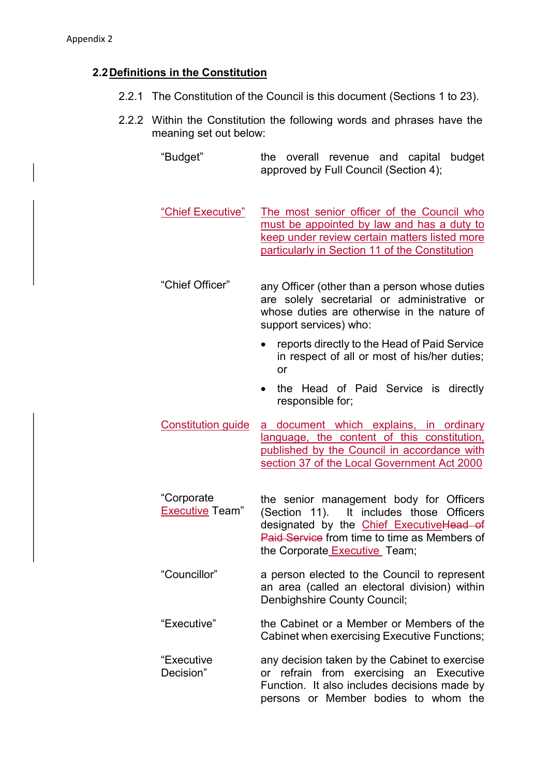## 2.2 Definitions in the Constitution

- 2.2.1 The Constitution of the Council is this document (Sections 1 to 23).
- 2.2.2 Within the Constitution the following words and phrases have the meaning set out below:

| "Budget" |  | the overall revenue and capital budget |  |  |
|----------|--|----------------------------------------|--|--|
|          |  | approved by Full Council (Section 4);  |  |  |

- "Chief Executive" The most senior officer of the Council who must be appointed by law and has a duty to keep under review certain matters listed more particularly in Section 11 of the Constitution
- "Chief Officer" any Officer (other than a person whose duties are solely secretarial or administrative or whose duties are otherwise in the nature of support services) who:
	- reports directly to the Head of Paid Service in respect of all or most of his/her duties; or
	- the Head of Paid Service is directly responsible for;
- Constitution guide a document which explains, in ordinary language, the content of this constitution, published by the Council in accordance with section 37 of the Local Government Act 2000
	- "Corporate Executive Team" the senior management body for Officers (Section 11). It includes those Officers designated by the Chief ExecutiveHead of Paid Service from time to time as Members of the Corporate Executive Team;
	- "Councillor" a person elected to the Council to represent an area (called an electoral division) within Denbighshire County Council;
	- "Executive" the Cabinet or a Member or Members of the Cabinet when exercising Executive Functions;
	- "Executive Decision" any decision taken by the Cabinet to exercise or refrain from exercising an Executive Function. It also includes decisions made by persons or Member bodies to whom the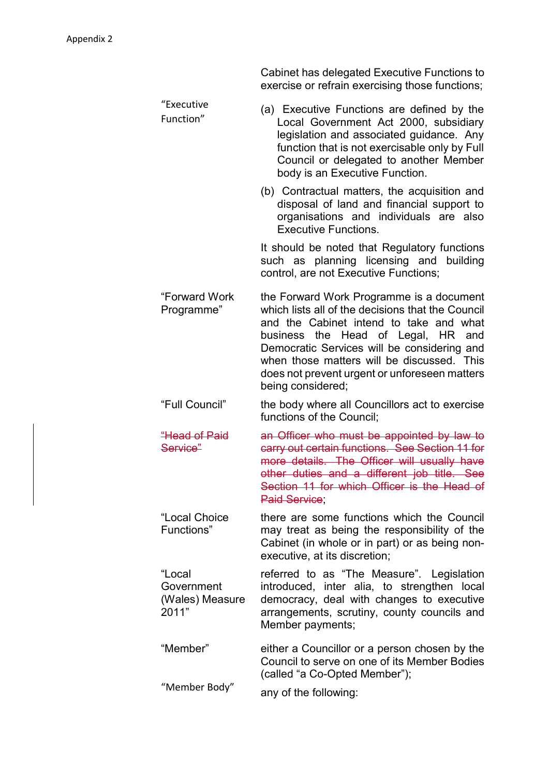|                                                  | Cabinet has delegated Executive Functions to<br>exercise or refrain exercising those functions;                                                                                                                                                                                                                                                      |
|--------------------------------------------------|------------------------------------------------------------------------------------------------------------------------------------------------------------------------------------------------------------------------------------------------------------------------------------------------------------------------------------------------------|
| "Executive<br>Function"                          | (a) Executive Functions are defined by the<br>Local Government Act 2000, subsidiary<br>legislation and associated guidance. Any<br>function that is not exercisable only by Full<br>Council or delegated to another Member<br>body is an Executive Function.                                                                                         |
|                                                  | (b) Contractual matters, the acquisition and<br>disposal of land and financial support to<br>organisations and individuals are also<br><b>Executive Functions.</b>                                                                                                                                                                                   |
|                                                  | It should be noted that Regulatory functions<br>such as planning licensing and building<br>control, are not Executive Functions;                                                                                                                                                                                                                     |
| "Forward Work<br>Programme"                      | the Forward Work Programme is a document<br>which lists all of the decisions that the Council<br>and the Cabinet intend to take and what<br>business the Head of Legal, HR<br>and<br>Democratic Services will be considering and<br>when those matters will be discussed. This<br>does not prevent urgent or unforeseen matters<br>being considered; |
| "Full Council"                                   | the body where all Councillors act to exercise<br>functions of the Council;                                                                                                                                                                                                                                                                          |
| "Head of Paid<br>Service"                        | an Officer who must be appointed by law to<br>carry out certain functions. See Section 11 for<br>more details. The Officer will usually have<br>other duties and a different job title. See<br>Section 11 for which Officer is the Head of<br><b>Paid Service:</b>                                                                                   |
| "Local Choice<br>Functions"                      | there are some functions which the Council<br>may treat as being the responsibility of the<br>Cabinet (in whole or in part) or as being non-<br>executive, at its discretion;                                                                                                                                                                        |
| "Local<br>Government<br>(Wales) Measure<br>2011" | referred to as "The Measure". Legislation<br>introduced, inter alia, to strengthen local<br>democracy, deal with changes to executive<br>arrangements, scrutiny, county councils and<br>Member payments;                                                                                                                                             |
| "Member"                                         | either a Councillor or a person chosen by the<br>Council to serve on one of its Member Bodies<br>(called "a Co-Opted Member");                                                                                                                                                                                                                       |
| "Member Body"                                    | any of the following:                                                                                                                                                                                                                                                                                                                                |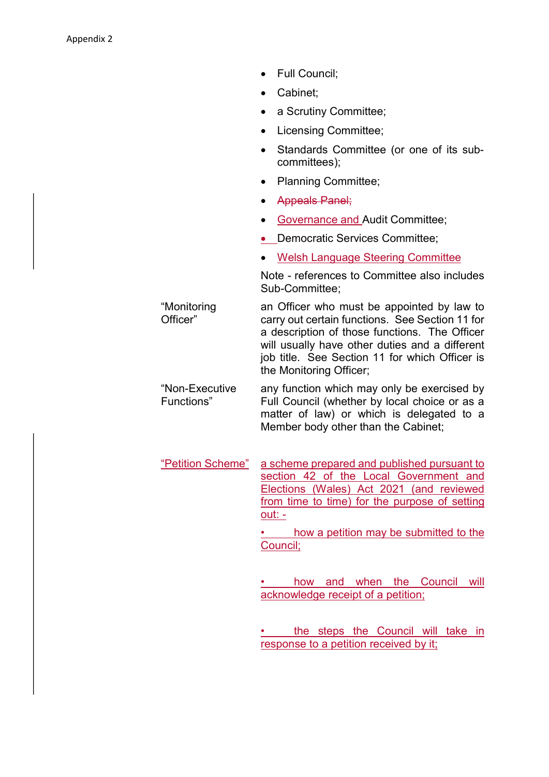- Full Council:
- Cabinet;
- a Scrutiny Committee;
- Licensing Committee;
- Standards Committee (or one of its subcommittees);
- Planning Committee;
- Appeals Panel;
- Governance and Audit Committee;
- Democratic Services Committee:
- Welsh Language Steering Committee

Note - references to Committee also includes Sub-Committee;

"Monitoring Officer" an Officer who must be appointed by law to carry out certain functions. See Section 11 for a description of those functions. The Officer will usually have other duties and a different iob title. See Section 11 for which Officer is the Monitoring Officer;

"Non-Executive Functions" any function which may only be exercised by Full Council (whether by local choice or as a matter of law) or which is delegated to a Member body other than the Cabinet;

"Petition Scheme" a scheme prepared and published pursuant to section 42 of the Local Government and Elections (Wales) Act 2021 (and reviewed from time to time) for the purpose of setting out: -

> • how a petition may be submitted to the Council;

> how and when the Council will acknowledge receipt of a petition;

> the steps the Council will take in response to a petition received by it;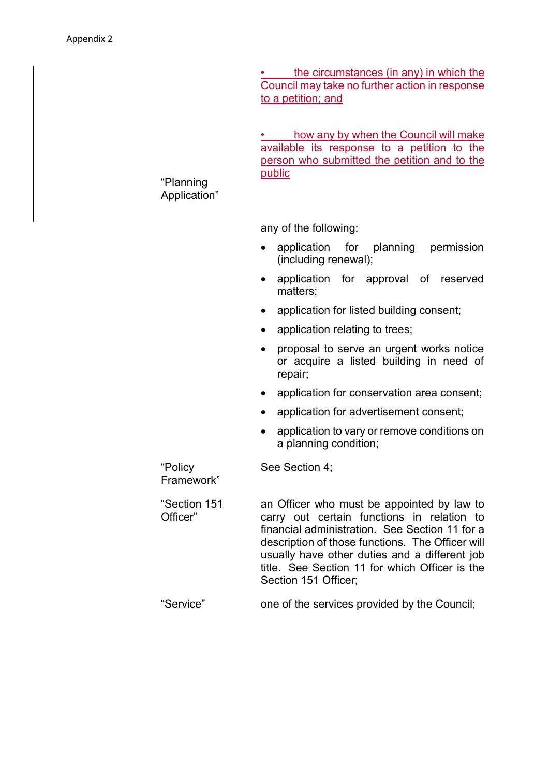• the circumstances (in any) in which the Council may take no further action in response to a petition; and

• how any by when the Council will make available its response to a petition to the person who submitted the petition and to the public

"Planning Application"

"Policy Framework" any of the following:

- application for planning permission (including renewal);
- application for approval of reserved matters;
- application for listed building consent;
- application relating to trees;
- proposal to serve an urgent works notice or acquire a listed building in need of repair;
- application for conservation area consent;
- application for advertisement consent;
- application to vary or remove conditions on a planning condition;

See Section 4;

"Section 151 Officer" an Officer who must be appointed by law to carry out certain functions in relation to financial administration. See Section 11 for a description of those functions. The Officer will usually have other duties and a different job title. See Section 11 for which Officer is the Section 151 Officer:

"Service" one of the services provided by the Council;